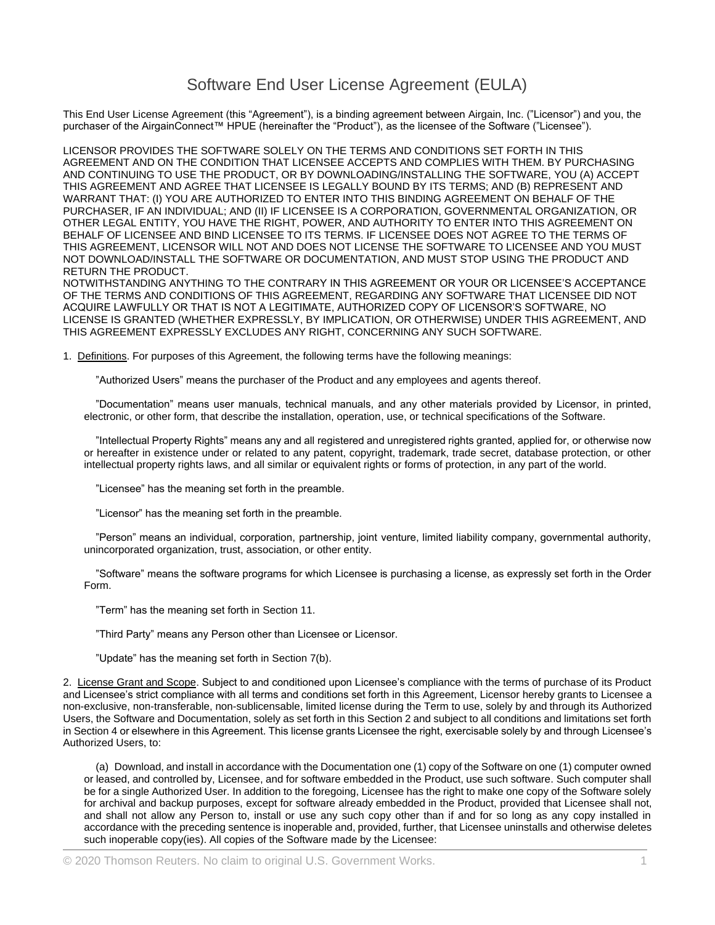## Software End User License Agreement (EULA)

This End User License Agreement (this "Agreement"), is a binding agreement between Airgain, Inc. ("Licensor") and you, the purchaser of the AirgainConnect™ HPUE (hereinafter the "Product"), as the licensee of the Software ("Licensee").

LICENSOR PROVIDES THE SOFTWARE SOLELY ON THE TERMS AND CONDITIONS SET FORTH IN THIS AGREEMENT AND ON THE CONDITION THAT LICENSEE ACCEPTS AND COMPLIES WITH THEM. BY PURCHASING AND CONTINUING TO USE THE PRODUCT, OR BY DOWNLOADING/INSTALLING THE SOFTWARE, YOU (A) ACCEPT THIS AGREEMENT AND AGREE THAT LICENSEE IS LEGALLY BOUND BY ITS TERMS; AND (B) REPRESENT AND WARRANT THAT: (I) YOU ARE AUTHORIZED TO ENTER INTO THIS BINDING AGREEMENT ON BEHALF OF THE PURCHASER, IF AN INDIVIDUAL; AND (II) IF LICENSEE IS A CORPORATION, GOVERNMENTAL ORGANIZATION, OR OTHER LEGAL ENTITY, YOU HAVE THE RIGHT, POWER, AND AUTHORITY TO ENTER INTO THIS AGREEMENT ON BEHALF OF LICENSEE AND BIND LICENSEE TO ITS TERMS. IF LICENSEE DOES NOT AGREE TO THE TERMS OF THIS AGREEMENT, LICENSOR WILL NOT AND DOES NOT LICENSE THE SOFTWARE TO LICENSEE AND YOU MUST NOT DOWNLOAD/INSTALL THE SOFTWARE OR DOCUMENTATION, AND MUST STOP USING THE PRODUCT AND RETURN THE PRODUCT.

NOTWITHSTANDING ANYTHING TO THE CONTRARY IN THIS AGREEMENT OR YOUR OR LICENSEE'S ACCEPTANCE OF THE TERMS AND CONDITIONS OF THIS AGREEMENT, REGARDING ANY SOFTWARE THAT LICENSEE DID NOT ACQUIRE LAWFULLY OR THAT IS NOT A LEGITIMATE, AUTHORIZED COPY OF LICENSOR'S SOFTWARE, NO LICENSE IS GRANTED (WHETHER EXPRESSLY, BY IMPLICATION, OR OTHERWISE) UNDER THIS AGREEMENT, AND THIS AGREEMENT EXPRESSLY EXCLUDES ANY RIGHT, CONCERNING ANY SUCH SOFTWARE.

1. Definitions. For purposes of this Agreement, the following terms have the following meanings:

"Authorized Users" means the purchaser of the Product and any employees and agents thereof.

"Documentation" means user manuals, technical manuals, and any other materials provided by Licensor, in printed, electronic, or other form, that describe the installation, operation, use, or technical specifications of the Software.

"Intellectual Property Rights" means any and all registered and unregistered rights granted, applied for, or otherwise now or hereafter in existence under or related to any patent, copyright, trademark, trade secret, database protection, or other intellectual property rights laws, and all similar or equivalent rights or forms of protection, in any part of the world.

"Licensee" has the meaning set forth in the preamble.

"Licensor" has the meaning set forth in the preamble.

"Person" means an individual, corporation, partnership, joint venture, limited liability company, governmental authority, unincorporated organization, trust, association, or other entity.

"Software" means the software programs for which Licensee is purchasing a license, as expressly set forth in the Order Form.

"Term" has the meaning set forth in Section 11.

"Third Party" means any Person other than Licensee or Licensor.

"Update" has the meaning set forth in Section 7(b).

2. License Grant and Scope. Subject to and conditioned upon Licensee's compliance with the terms of purchase of its Product and Licensee's strict compliance with all terms and conditions set forth in this Agreement, Licensor hereby grants to Licensee a non-exclusive, non-transferable, non-sublicensable, limited license during the Term to use, solely by and through its Authorized Users, the Software and Documentation, solely as set forth in this Section 2 and subject to all conditions and limitations set forth in Section 4 or elsewhere in this Agreement. This license grants Licensee the right, exercisable solely by and through Licensee's Authorized Users, to:

(a) Download, and install in accordance with the Documentation one (1) copy of the Software on one (1) computer owned or leased, and controlled by, Licensee, and for software embedded in the Product, use such software. Such computer shall be for a single Authorized User. In addition to the foregoing, Licensee has the right to make one copy of the Software solely for archival and backup purposes, except for software already embedded in the Product, provided that Licensee shall not, and shall not allow any Person to, install or use any such copy other than if and for so long as any copy installed in accordance with the preceding sentence is inoperable and, provided, further, that Licensee uninstalls and otherwise deletes such inoperable copy(ies). All copies of the Software made by the Licensee: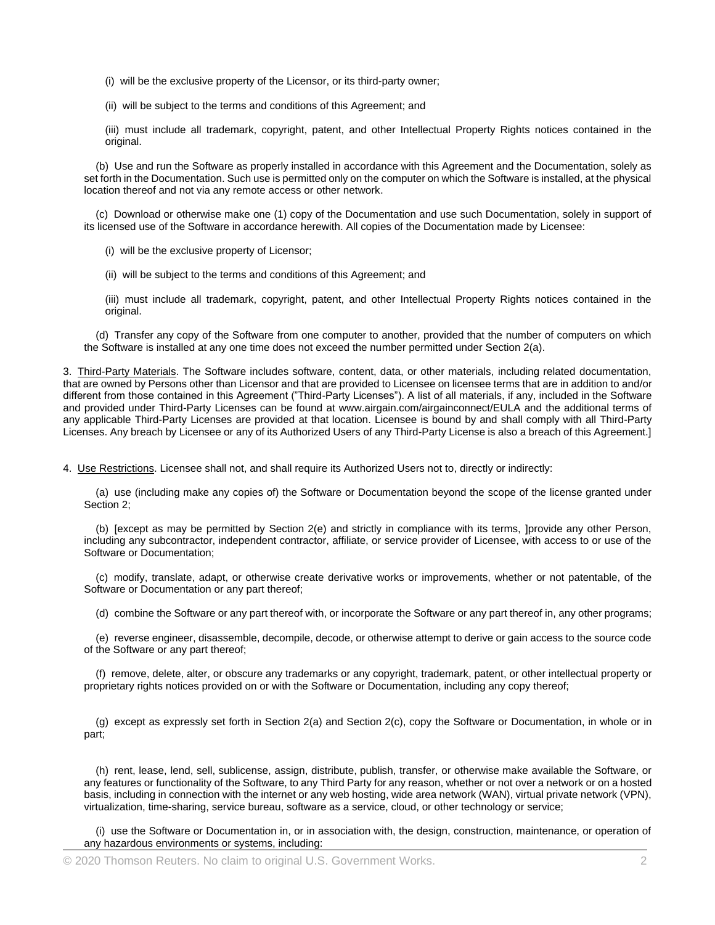(i) will be the exclusive property of the Licensor, or its third-party owner;

(ii) will be subject to the terms and conditions of this Agreement; and

(iii) must include all trademark, copyright, patent, and other Intellectual Property Rights notices contained in the original.

(b) Use and run the Software as properly installed in accordance with this Agreement and the Documentation, solely as set forth in the Documentation. Such use is permitted only on the computer on which the Software is installed, at the physical location thereof and not via any remote access or other network.

(c) Download or otherwise make one (1) copy of the Documentation and use such Documentation, solely in support of its licensed use of the Software in accordance herewith. All copies of the Documentation made by Licensee:

- (i) will be the exclusive property of Licensor;
- (ii) will be subject to the terms and conditions of this Agreement; and

(iii) must include all trademark, copyright, patent, and other Intellectual Property Rights notices contained in the original.

(d) Transfer any copy of the Software from one computer to another, provided that the number of computers on which the Software is installed at any one time does not exceed the number permitted under Section 2(a).

3. Third-Party Materials. The Software includes software, content, data, or other materials, including related documentation, that are owned by Persons other than Licensor and that are provided to Licensee on licensee terms that are in addition to and/or different from those contained in this Agreement ("Third-Party Licenses"). A list of all materials, if any, included in the Software and provided under Third-Party Licenses can be found at www.airgain.com/airgainconnect/EULA and the additional terms of any applicable Third-Party Licenses are provided at that location. Licensee is bound by and shall comply with all Third-Party Licenses. Any breach by Licensee or any of its Authorized Users of any Third-Party License is also a breach of this Agreement.]

4. Use Restrictions. Licensee shall not, and shall require its Authorized Users not to, directly or indirectly:

(a) use (including make any copies of) the Software or Documentation beyond the scope of the license granted under Section 2;

(b) [except as may be permitted by Section 2(e) and strictly in compliance with its terms, ]provide any other Person, including any subcontractor, independent contractor, affiliate, or service provider of Licensee, with access to or use of the Software or Documentation;

(c) modify, translate, adapt, or otherwise create derivative works or improvements, whether or not patentable, of the Software or Documentation or any part thereof;

(d) combine the Software or any part thereof with, or incorporate the Software or any part thereof in, any other programs;

(e) reverse engineer, disassemble, decompile, decode, or otherwise attempt to derive or gain access to the source code of the Software or any part thereof;

(f) remove, delete, alter, or obscure any trademarks or any copyright, trademark, patent, or other intellectual property or proprietary rights notices provided on or with the Software or Documentation, including any copy thereof;

(g) except as expressly set forth in Section 2(a) and Section 2(c), copy the Software or Documentation, in whole or in part;

(h) rent, lease, lend, sell, sublicense, assign, distribute, publish, transfer, or otherwise make available the Software, or any features or functionality of the Software, to any Third Party for any reason, whether or not over a network or on a hosted basis, including in connection with the internet or any web hosting, wide area network (WAN), virtual private network (VPN), virtualization, time-sharing, service bureau, software as a service, cloud, or other technology or service;

(i) use the Software or Documentation in, or in association with, the design, construction, maintenance, or operation of any hazardous environments or systems, including: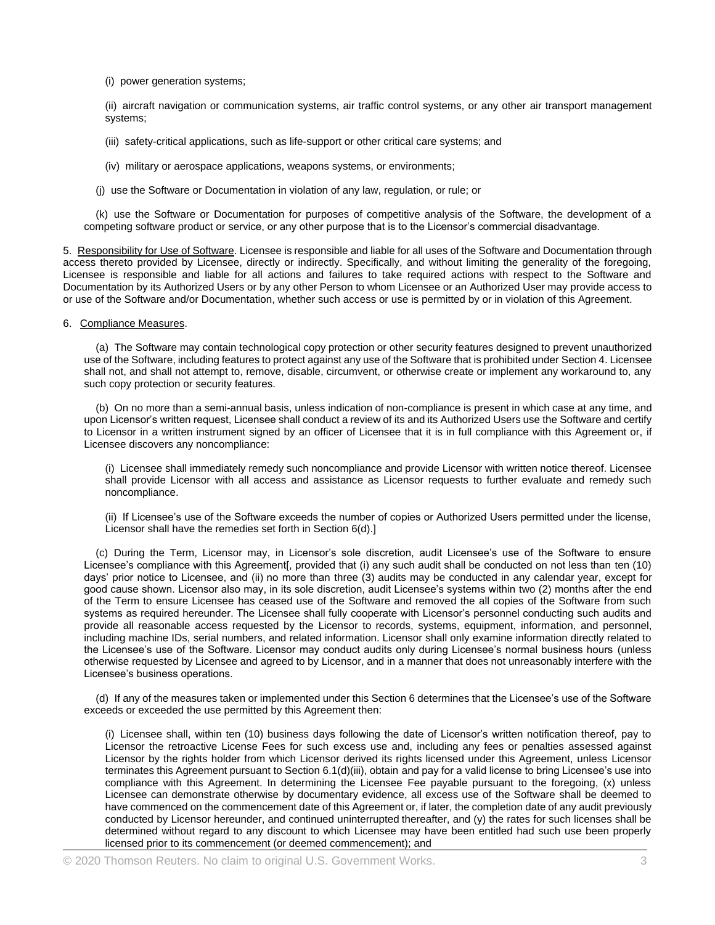(i) power generation systems;

(ii) aircraft navigation or communication systems, air traffic control systems, or any other air transport management systems;

(iii) safety-critical applications, such as life-support or other critical care systems; and

(iv) military or aerospace applications, weapons systems, or environments;

(j) use the Software or Documentation in violation of any law, regulation, or rule; or

(k) use the Software or Documentation for purposes of competitive analysis of the Software, the development of a competing software product or service, or any other purpose that is to the Licensor's commercial disadvantage.

5. Responsibility for Use of Software. Licensee is responsible and liable for all uses of the Software and Documentation through access thereto provided by Licensee, directly or indirectly. Specifically, and without limiting the generality of the foregoing, Licensee is responsible and liable for all actions and failures to take required actions with respect to the Software and Documentation by its Authorized Users or by any other Person to whom Licensee or an Authorized User may provide access to or use of the Software and/or Documentation, whether such access or use is permitted by or in violation of this Agreement.

6. Compliance Measures.

(a) The Software may contain technological copy protection or other security features designed to prevent unauthorized use of the Software, including features to protect against any use of the Software that is prohibited under Section 4. Licensee shall not, and shall not attempt to, remove, disable, circumvent, or otherwise create or implement any workaround to, any such copy protection or security features.

(b) On no more than a semi-annual basis, unless indication of non-compliance is present in which case at any time, and upon Licensor's written request, Licensee shall conduct a review of its and its Authorized Users use the Software and certify to Licensor in a written instrument signed by an officer of Licensee that it is in full compliance with this Agreement or, if Licensee discovers any noncompliance:

(i) Licensee shall immediately remedy such noncompliance and provide Licensor with written notice thereof. Licensee shall provide Licensor with all access and assistance as Licensor requests to further evaluate and remedy such noncompliance.

(ii) If Licensee's use of the Software exceeds the number of copies or Authorized Users permitted under the license, Licensor shall have the remedies set forth in Section 6(d).]

(c) During the Term, Licensor may, in Licensor's sole discretion, audit Licensee's use of the Software to ensure Licensee's compliance with this Agreement[, provided that (i) any such audit shall be conducted on not less than ten (10) days' prior notice to Licensee, and (ii) no more than three (3) audits may be conducted in any calendar year, except for good cause shown. Licensor also may, in its sole discretion, audit Licensee's systems within two (2) months after the end of the Term to ensure Licensee has ceased use of the Software and removed the all copies of the Software from such systems as required hereunder. The Licensee shall fully cooperate with Licensor's personnel conducting such audits and provide all reasonable access requested by the Licensor to records, systems, equipment, information, and personnel, including machine IDs, serial numbers, and related information. Licensor shall only examine information directly related to the Licensee's use of the Software. Licensor may conduct audits only during Licensee's normal business hours (unless otherwise requested by Licensee and agreed to by Licensor, and in a manner that does not unreasonably interfere with the Licensee's business operations.

(d) If any of the measures taken or implemented under this Section 6 determines that the Licensee's use of the Software exceeds or exceeded the use permitted by this Agreement then:

(i) Licensee shall, within ten (10) business days following the date of Licensor's written notification thereof, pay to Licensor the retroactive License Fees for such excess use and, including any fees or penalties assessed against Licensor by the rights holder from which Licensor derived its rights licensed under this Agreement, unless Licensor terminates this Agreement pursuant to Section 6.1(d)(iii), obtain and pay for a valid license to bring Licensee's use into compliance with this Agreement. In determining the Licensee Fee payable pursuant to the foregoing, (x) unless Licensee can demonstrate otherwise by documentary evidence, all excess use of the Software shall be deemed to have commenced on the commencement date of this Agreement or, if later, the completion date of any audit previously conducted by Licensor hereunder, and continued uninterrupted thereafter, and (y) the rates for such licenses shall be determined without regard to any discount to which Licensee may have been entitled had such use been properly licensed prior to its commencement (or deemed commencement); and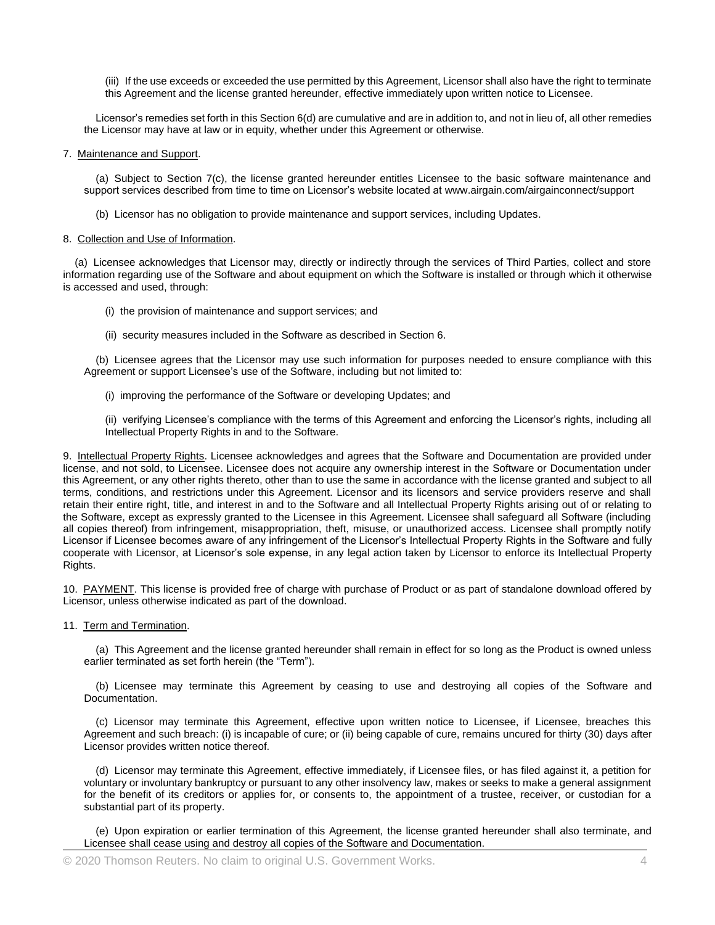(iii) If the use exceeds or exceeded the use permitted by this Agreement, Licensor shall also have the right to terminate this Agreement and the license granted hereunder, effective immediately upon written notice to Licensee.

Licensor's remedies set forth in this Section 6(d) are cumulative and are in addition to, and not in lieu of, all other remedies the Licensor may have at law or in equity, whether under this Agreement or otherwise.

7. Maintenance and Support.

(a) Subject to Section 7(c), the license granted hereunder entitles Licensee to the basic software maintenance and support services described from time to time on Licensor's website located at www.airgain.com/airgainconnect/support

(b) Licensor has no obligation to provide maintenance and support services, including Updates.

## 8. Collection and Use of Information.

(a) Licensee acknowledges that Licensor may, directly or indirectly through the services of Third Parties, collect and store information regarding use of the Software and about equipment on which the Software is installed or through which it otherwise is accessed and used, through:

- (i) the provision of maintenance and support services; and
- (ii) security measures included in the Software as described in Section 6.

(b) Licensee agrees that the Licensor may use such information for purposes needed to ensure compliance with this Agreement or support Licensee's use of the Software, including but not limited to:

(i) improving the performance of the Software or developing Updates; and

(ii) verifying Licensee's compliance with the terms of this Agreement and enforcing the Licensor's rights, including all Intellectual Property Rights in and to the Software.

9. Intellectual Property Rights. Licensee acknowledges and agrees that the Software and Documentation are provided under license, and not sold, to Licensee. Licensee does not acquire any ownership interest in the Software or Documentation under this Agreement, or any other rights thereto, other than to use the same in accordance with the license granted and subject to all terms, conditions, and restrictions under this Agreement. Licensor and its licensors and service providers reserve and shall retain their entire right, title, and interest in and to the Software and all Intellectual Property Rights arising out of or relating to the Software, except as expressly granted to the Licensee in this Agreement. Licensee shall safeguard all Software (including all copies thereof) from infringement, misappropriation, theft, misuse, or unauthorized access. Licensee shall promptly notify Licensor if Licensee becomes aware of any infringement of the Licensor's Intellectual Property Rights in the Software and fully cooperate with Licensor, at Licensor's sole expense, in any legal action taken by Licensor to enforce its Intellectual Property Rights.

10. PAYMENT. This license is provided free of charge with purchase of Product or as part of standalone download offered by Licensor, unless otherwise indicated as part of the download.

11. Term and Termination.

(a) This Agreement and the license granted hereunder shall remain in effect for so long as the Product is owned unless earlier terminated as set forth herein (the "Term").

(b) Licensee may terminate this Agreement by ceasing to use and destroying all copies of the Software and Documentation.

(c) Licensor may terminate this Agreement, effective upon written notice to Licensee, if Licensee, breaches this Agreement and such breach: (i) is incapable of cure; or (ii) being capable of cure, remains uncured for thirty (30) days after Licensor provides written notice thereof.

(d) Licensor may terminate this Agreement, effective immediately, if Licensee files, or has filed against it, a petition for voluntary or involuntary bankruptcy or pursuant to any other insolvency law, makes or seeks to make a general assignment for the benefit of its creditors or applies for, or consents to, the appointment of a trustee, receiver, or custodian for a substantial part of its property.

(e) Upon expiration or earlier termination of this Agreement, the license granted hereunder shall also terminate, and Licensee shall cease using and destroy all copies of the Software and Documentation.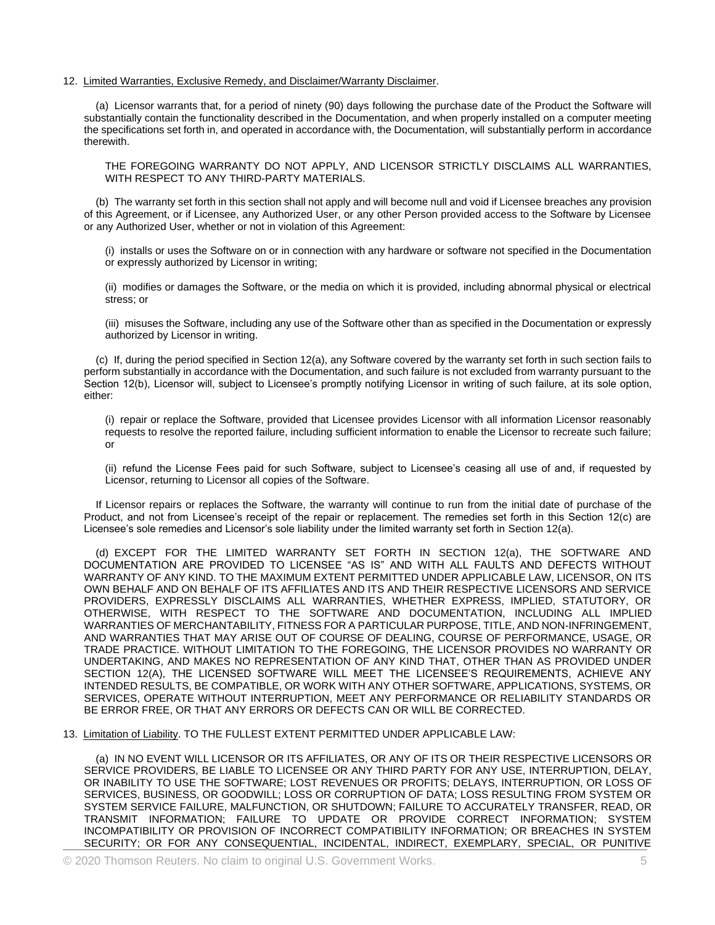## 12. Limited Warranties, Exclusive Remedy, and Disclaimer/Warranty Disclaimer.

(a) Licensor warrants that, for a period of ninety (90) days following the purchase date of the Product the Software will substantially contain the functionality described in the Documentation, and when properly installed on a computer meeting the specifications set forth in, and operated in accordance with, the Documentation, will substantially perform in accordance therewith.

THE FOREGOING WARRANTY DO NOT APPLY, AND LICENSOR STRICTLY DISCLAIMS ALL WARRANTIES, WITH RESPECT TO ANY THIRD-PARTY MATERIALS.

(b) The warranty set forth in this section shall not apply and will become null and void if Licensee breaches any provision of this Agreement, or if Licensee, any Authorized User, or any other Person provided access to the Software by Licensee or any Authorized User, whether or not in violation of this Agreement:

(i) installs or uses the Software on or in connection with any hardware or software not specified in the Documentation or expressly authorized by Licensor in writing;

(ii) modifies or damages the Software, or the media on which it is provided, including abnormal physical or electrical stress; or

(iii) misuses the Software, including any use of the Software other than as specified in the Documentation or expressly authorized by Licensor in writing.

(c) If, during the period specified in Section 12(a), any Software covered by the warranty set forth in such section fails to perform substantially in accordance with the Documentation, and such failure is not excluded from warranty pursuant to the Section 12(b), Licensor will, subject to Licensee's promptly notifying Licensor in writing of such failure, at its sole option, either:

(i) repair or replace the Software, provided that Licensee provides Licensor with all information Licensor reasonably requests to resolve the reported failure, including sufficient information to enable the Licensor to recreate such failure; or

(ii) refund the License Fees paid for such Software, subject to Licensee's ceasing all use of and, if requested by Licensor, returning to Licensor all copies of the Software.

If Licensor repairs or replaces the Software, the warranty will continue to run from the initial date of purchase of the Product, and not from Licensee's receipt of the repair or replacement. The remedies set forth in this Section 12(c) are Licensee's sole remedies and Licensor's sole liability under the limited warranty set forth in Section 12(a).

(d) EXCEPT FOR THE LIMITED WARRANTY SET FORTH IN SECTION 12(a), THE SOFTWARE AND DOCUMENTATION ARE PROVIDED TO LICENSEE "AS IS" AND WITH ALL FAULTS AND DEFECTS WITHOUT WARRANTY OF ANY KIND. TO THE MAXIMUM EXTENT PERMITTED UNDER APPLICABLE LAW, LICENSOR, ON ITS OWN BEHALF AND ON BEHALF OF ITS AFFILIATES AND ITS AND THEIR RESPECTIVE LICENSORS AND SERVICE PROVIDERS, EXPRESSLY DISCLAIMS ALL WARRANTIES, WHETHER EXPRESS, IMPLIED, STATUTORY, OR OTHERWISE, WITH RESPECT TO THE SOFTWARE AND DOCUMENTATION, INCLUDING ALL IMPLIED WARRANTIES OF MERCHANTABILITY, FITNESS FOR A PARTICULAR PURPOSE, TITLE, AND NON-INFRINGEMENT, AND WARRANTIES THAT MAY ARISE OUT OF COURSE OF DEALING, COURSE OF PERFORMANCE, USAGE, OR TRADE PRACTICE. WITHOUT LIMITATION TO THE FOREGOING, THE LICENSOR PROVIDES NO WARRANTY OR UNDERTAKING, AND MAKES NO REPRESENTATION OF ANY KIND THAT, OTHER THAN AS PROVIDED UNDER SECTION 12(A), THE LICENSED SOFTWARE WILL MEET THE LICENSEE'S REQUIREMENTS, ACHIEVE ANY INTENDED RESULTS, BE COMPATIBLE, OR WORK WITH ANY OTHER SOFTWARE, APPLICATIONS, SYSTEMS, OR SERVICES, OPERATE WITHOUT INTERRUPTION, MEET ANY PERFORMANCE OR RELIABILITY STANDARDS OR BE ERROR FREE, OR THAT ANY ERRORS OR DEFECTS CAN OR WILL BE CORRECTED.

13. Limitation of Liability. TO THE FULLEST EXTENT PERMITTED UNDER APPLICABLE LAW:

(a) IN NO EVENT WILL LICENSOR OR ITS AFFILIATES, OR ANY OF ITS OR THEIR RESPECTIVE LICENSORS OR SERVICE PROVIDERS, BE LIABLE TO LICENSEE OR ANY THIRD PARTY FOR ANY USE, INTERRUPTION, DELAY, OR INABILITY TO USE THE SOFTWARE; LOST REVENUES OR PROFITS; DELAYS, INTERRUPTION, OR LOSS OF SERVICES, BUSINESS, OR GOODWILL; LOSS OR CORRUPTION OF DATA; LOSS RESULTING FROM SYSTEM OR SYSTEM SERVICE FAILURE, MALFUNCTION, OR SHUTDOWN; FAILURE TO ACCURATELY TRANSFER, READ, OR TRANSMIT INFORMATION; FAILURE TO UPDATE OR PROVIDE CORRECT INFORMATION; SYSTEM INCOMPATIBILITY OR PROVISION OF INCORRECT COMPATIBILITY INFORMATION; OR BREACHES IN SYSTEM SECURITY; OR FOR ANY CONSEQUENTIAL, INCIDENTAL, INDIRECT, EXEMPLARY, SPECIAL, OR PUNITIVE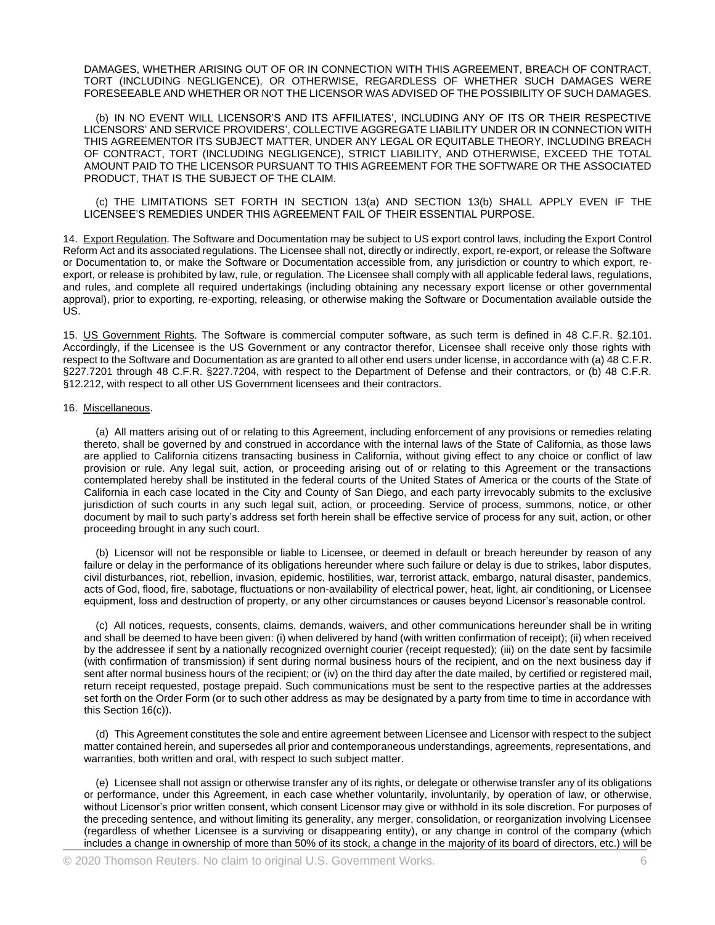DAMAGES, WHETHER ARISING OUT OF OR IN CONNECTION WITH THIS AGREEMENT, BREACH OF CONTRACT, TORT (INCLUDING NEGLIGENCE), OR OTHERWISE, REGARDLESS OF WHETHER SUCH DAMAGES WERE FORESEEABLE AND WHETHER OR NOT THE LICENSOR WAS ADVISED OF THE POSSIBILITY OF SUCH DAMAGES.

(b) IN NO EVENT WILL LICENSOR'S AND ITS AFFILIATES', INCLUDING ANY OF ITS OR THEIR RESPECTIVE LICENSORS' AND SERVICE PROVIDERS', COLLECTIVE AGGREGATE LIABILITY UNDER OR IN CONNECTION WITH THIS AGREEMENTOR ITS SUBJECT MATTER, UNDER ANY LEGAL OR EQUITABLE THEORY, INCLUDING BREACH OF CONTRACT, TORT (INCLUDING NEGLIGENCE), STRICT LIABILITY, AND OTHERWISE, EXCEED THE TOTAL AMOUNT PAID TO THE LICENSOR PURSUANT TO THIS AGREEMENT FOR THE SOFTWARE OR THE ASSOCIATED PRODUCT, THAT IS THE SUBJECT OF THE CLAIM.

(c) THE LIMITATIONS SET FORTH IN SECTION 13(a) AND SECTION 13(b) SHALL APPLY EVEN IF THE LICENSEE'S REMEDIES UNDER THIS AGREEMENT FAIL OF THEIR ESSENTIAL PURPOSE.

14. Export Regulation. The Software and Documentation may be subject to US export control laws, including the Export Control Reform Act and its associated regulations. The Licensee shall not, directly or indirectly, export, re-export, or release the Software or Documentation to, or make the Software or Documentation accessible from, any jurisdiction or country to which export, reexport, or release is prohibited by law, rule, or regulation. The Licensee shall comply with all applicable federal laws, regulations, and rules, and complete all required undertakings (including obtaining any necessary export license or other governmental approval), prior to exporting, re-exporting, releasing, or otherwise making the Software or Documentation available outside the US.

15. US Government Rights. The Software is commercial computer software, as such term is defined in 48 C.F.R. §2.101. Accordingly, if the Licensee is the US Government or any contractor therefor, Licensee shall receive only those rights with respect to the Software and Documentation as are granted to all other end users under license, in accordance with (a) 48 C.F.R. §227.7201 through 48 C.F.R. §227.7204, with respect to the Department of Defense and their contractors, or (b) 48 C.F.R. §12.212, with respect to all other US Government licensees and their contractors.

## 16. Miscellaneous.

(a) All matters arising out of or relating to this Agreement, including enforcement of any provisions or remedies relating thereto, shall be governed by and construed in accordance with the internal laws of the State of California, as those laws are applied to California citizens transacting business in California, without giving effect to any choice or conflict of law provision or rule. Any legal suit, action, or proceeding arising out of or relating to this Agreement or the transactions contemplated hereby shall be instituted in the federal courts of the United States of America or the courts of the State of California in each case located in the City and County of San Diego, and each party irrevocably submits to the exclusive jurisdiction of such courts in any such legal suit, action, or proceeding. Service of process, summons, notice, or other document by mail to such party's address set forth herein shall be effective service of process for any suit, action, or other proceeding brought in any such court.

(b) Licensor will not be responsible or liable to Licensee, or deemed in default or breach hereunder by reason of any failure or delay in the performance of its obligations hereunder where such failure or delay is due to strikes, labor disputes, civil disturbances, riot, rebellion, invasion, epidemic, hostilities, war, terrorist attack, embargo, natural disaster, pandemics, acts of God, flood, fire, sabotage, fluctuations or non-availability of electrical power, heat, light, air conditioning, or Licensee equipment, loss and destruction of property, or any other circumstances or causes beyond Licensor's reasonable control.

(c) All notices, requests, consents, claims, demands, waivers, and other communications hereunder shall be in writing and shall be deemed to have been given: (i) when delivered by hand (with written confirmation of receipt); (ii) when received by the addressee if sent by a nationally recognized overnight courier (receipt requested); (iii) on the date sent by facsimile (with confirmation of transmission) if sent during normal business hours of the recipient, and on the next business day if sent after normal business hours of the recipient; or (iv) on the third day after the date mailed, by certified or registered mail, return receipt requested, postage prepaid. Such communications must be sent to the respective parties at the addresses set forth on the Order Form (or to such other address as may be designated by a party from time to time in accordance with this Section 16(c)).

(d) This Agreement constitutes the sole and entire agreement between Licensee and Licensor with respect to the subject matter contained herein, and supersedes all prior and contemporaneous understandings, agreements, representations, and warranties, both written and oral, with respect to such subject matter.

(e) Licensee shall not assign or otherwise transfer any of its rights, or delegate or otherwise transfer any of its obligations or performance, under this Agreement, in each case whether voluntarily, involuntarily, by operation of law, or otherwise, without Licensor's prior written consent, which consent Licensor may give or withhold in its sole discretion. For purposes of the preceding sentence, and without limiting its generality, any merger, consolidation, or reorganization involving Licensee (regardless of whether Licensee is a surviving or disappearing entity), or any change in control of the company (which includes a change in ownership of more than 50% of its stock, a change in the majority of its board of directors, etc.) will be